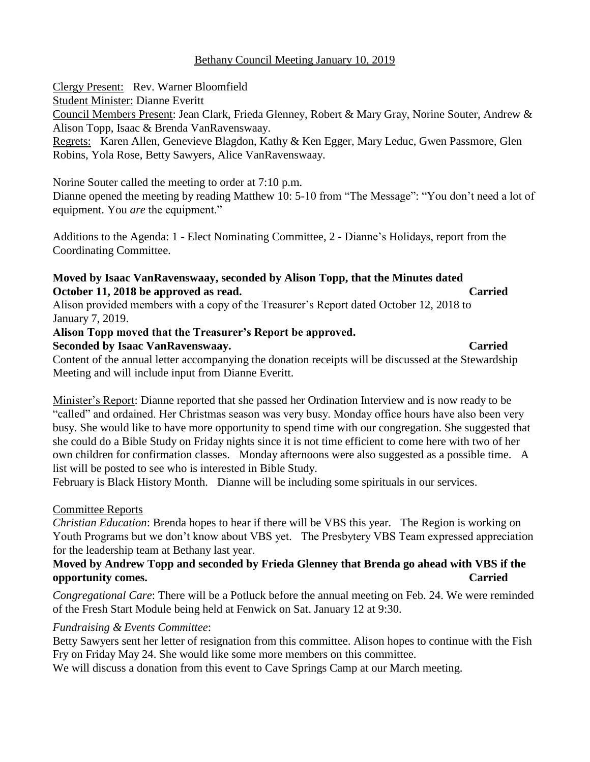## Bethany Council Meeting January 10, 2019

Clergy Present: Rev. Warner Bloomfield Student Minister: Dianne Everitt Council Members Present: Jean Clark, Frieda Glenney, Robert & Mary Gray, Norine Souter, Andrew & Alison Topp, Isaac & Brenda VanRavenswaay. Regrets: Karen Allen, Genevieve Blagdon, Kathy & Ken Egger, Mary Leduc, Gwen Passmore, Glen

Robins, Yola Rose, Betty Sawyers, Alice VanRavenswaay.

Norine Souter called the meeting to order at 7:10 p.m.

Dianne opened the meeting by reading Matthew 10: 5-10 from "The Message": "You don't need a lot of equipment. You *are* the equipment."

Additions to the Agenda: 1 - Elect Nominating Committee, 2 - Dianne's Holidays, report from the Coordinating Committee.

# **Moved by Isaac VanRavenswaay, seconded by Alison Topp, that the Minutes dated October 11, 2018 be approved as read. Carried**

Alison provided members with a copy of the Treasurer's Report dated October 12, 2018 to January 7, 2019.

# **Alison Topp moved that the Treasurer's Report be approved.**

## **Seconded by Isaac VanRavenswaay. Carried**

Content of the annual letter accompanying the donation receipts will be discussed at the Stewardship Meeting and will include input from Dianne Everitt.

Minister's Report: Dianne reported that she passed her Ordination Interview and is now ready to be "called" and ordained. Her Christmas season was very busy. Monday office hours have also been very busy. She would like to have more opportunity to spend time with our congregation. She suggested that she could do a Bible Study on Friday nights since it is not time efficient to come here with two of her own children for confirmation classes. Monday afternoons were also suggested as a possible time. A list will be posted to see who is interested in Bible Study.

February is Black History Month. Dianne will be including some spirituals in our services.

# Committee Reports

*Christian Education*: Brenda hopes to hear if there will be VBS this year. The Region is working on Youth Programs but we don't know about VBS yet. The Presbytery VBS Team expressed appreciation for the leadership team at Bethany last year.

# **Moved by Andrew Topp and seconded by Frieda Glenney that Brenda go ahead with VBS if the opportunity comes. Carried**

*Congregational Care*: There will be a Potluck before the annual meeting on Feb. 24. We were reminded of the Fresh Start Module being held at Fenwick on Sat. January 12 at 9:30.

# *Fundraising & Events Committee*:

Betty Sawyers sent her letter of resignation from this committee. Alison hopes to continue with the Fish Fry on Friday May 24. She would like some more members on this committee.

We will discuss a donation from this event to Cave Springs Camp at our March meeting.